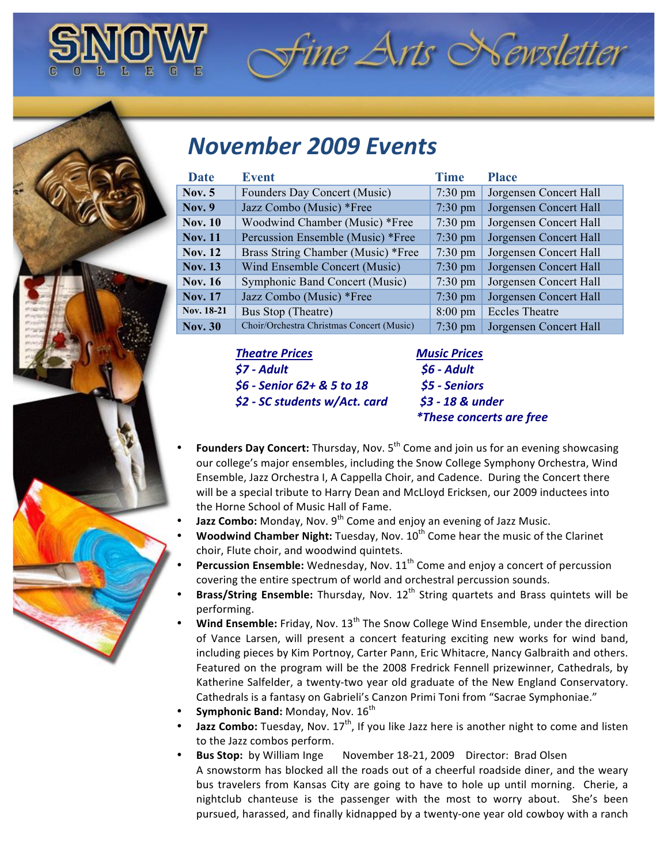

## *November(2009(Events*

| Date           | <b>Event</b>                              | <b>Time</b>       | <b>Place</b>           |
|----------------|-------------------------------------------|-------------------|------------------------|
| Nov. $5$       | Founders Day Concert (Music)              | $7:30 \text{ pm}$ | Jorgensen Concert Hall |
| Nov. $9$       | Jazz Combo (Music) *Free                  | $7:30 \text{ pm}$ | Jorgensen Concert Hall |
| <b>Nov. 10</b> | Woodwind Chamber (Music) *Free            | $7:30 \text{ pm}$ | Jorgensen Concert Hall |
| <b>Nov. 11</b> | Percussion Ensemble (Music) *Free         | $7:30$ pm         | Jorgensen Concert Hall |
| <b>Nov. 12</b> | Brass String Chamber (Music) *Free        | $7:30 \text{ pm}$ | Jorgensen Concert Hall |
| <b>Nov. 13</b> | Wind Ensemble Concert (Music)             | $7:30$ pm         | Jorgensen Concert Hall |
| <b>Nov. 16</b> | Symphonic Band Concert (Music)            | $7:30 \text{ pm}$ | Jorgensen Concert Hall |
| <b>Nov. 17</b> | Jazz Combo (Music) *Free                  | $7:30 \text{ pm}$ | Jorgensen Concert Hall |
| Nov. 18-21     | Bus Stop (Theatre)                        | $8:00 \text{ pm}$ | <b>Eccles Theatre</b>  |
| <b>Nov. 30</b> | Choir/Orchestra Christmas Concert (Music) | $7:30$ pm         | Jorgensen Concert Hall |

*Theatre(Prices!!!!!!!!!!!!!!!!!!!!!!!!!!!!!!!!!!!Music(Prices \$7(: Adult(((((((((((((((((((((((((((((((((((((((((((((\$6(: Adult \$6(: Senior(62+(&(5(to(18((((((((((((((((((\$5(: Seniors*

*\$2(: SC(students(w/Act.(card(((((((((((\$3(:(18(&(under*

*((((((((\*These(concerts(are(free*

Fine Arts Newsletter

- **Founders Day Concert:** Thursday, Nov. 5<sup>th</sup> Come and join us for an evening showcasing our college's major ensembles, including the Snow College Symphony Orchestra, Wind Ensemble, Jazz Orchestra I, A Cappella Choir, and Cadence. During the Concert there will be a special tribute to Harry Dean and McLloyd Ericksen, our 2009 inductees into the Horne School of Music Hall of Fame.
- Jazz Combo: Monday, Nov. 9<sup>th</sup> Come and enjoy an evening of Jazz Music.
- **Woodwind Chamber Night:** Tuesday, Nov. 10<sup>th</sup> Come hear the music of the Clarinet choir, Flute choir, and woodwind quintets.
- **Percussion Ensemble:** Wednesday, Nov.  $11^{th}$  Come and enjoy a concert of percussion covering the entire spectrum of world and orchestral percussion sounds.
- **Brass/String Ensemble:** Thursday, Nov. 12<sup>th</sup> String quartets and Brass quintets will be performing.
- **Wind Ensemble:** Friday, Nov. 13<sup>th</sup> The Snow College Wind Ensemble, under the direction of Vance Larsen, will present a concert featuring exciting new works for wind band, including pieces by Kim Portnoy, Carter Pann, Eric Whitacre, Nancy Galbraith and others. Featured on the program will be the 2008 Fredrick Fennell prizewinner, Cathedrals, by Katherine Salfelder, a twenty-two year old graduate of the New England Conservatory. Cathedrals is a fantasy on Gabrieli's Canzon Primi Toni from "Sacrae Symphoniae."
- **Symphonic Band:** Monday, Nov.  $16^{th}$
- **Jazz Combo:** Tuesday, Nov. 17<sup>th</sup>, If you like Jazz here is another night to come and listen to the Jazz combos perform.
- **Bus!Stop:!!**by!William!Inge!!!!!!!November!18Z21,!2009!!!!Director:!!Brad!Olsen A snowstorm has blocked all the roads out of a cheerful roadside diner, and the weary bus travelers from Kansas City are going to have to hole up until morning. Cherie, a nightclub chanteuse is the passenger with the most to worry about. She's been pursued, harassed, and finally kidnapped by a twenty-one year old cowboy with a ranch